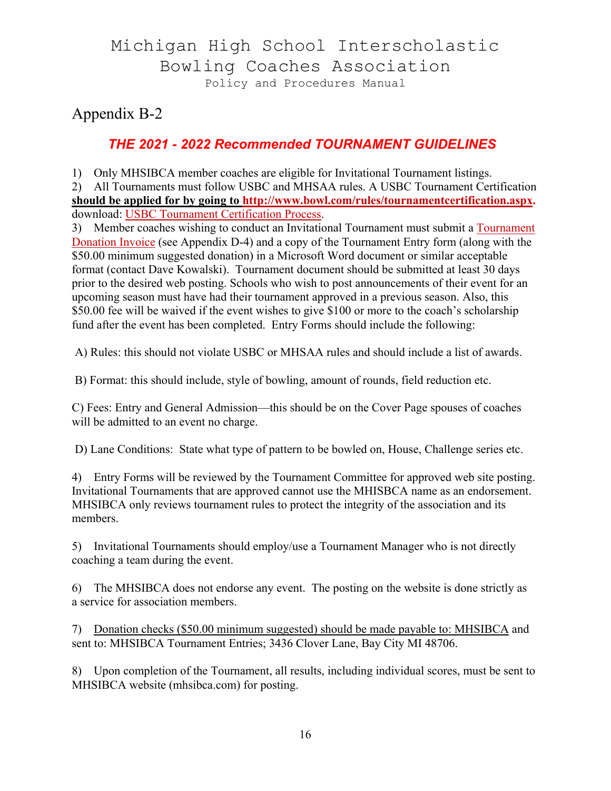# Michigan High School Interscholastic Bowling Coaches Association Policy and Procedures Manual

Appendix B-2

### *THE 2021 - 2022 Recommended TOURNAMENT GUIDELINES*

1) Only MHSIBCA member coaches are eligible for Invitational Tournament listings.

2) All Tournaments must follow USBC and MHSAA rules. A USBC Tournament Certification **should be applied for by going to http://www.bowl.com/rules/tournamentcertification.aspx.** download: USBC Tournament Certification Process.

3) Member coaches wishing to conduct an Invitational Tournament must submit a Tournament Donation Invoice (see Appendix D-4) and a copy of the Tournament Entry form (along with the \$50.00 minimum suggested donation) in a Microsoft Word document or similar acceptable format (contact Dave Kowalski). Tournament document should be submitted at least 30 days prior to the desired web posting. Schools who wish to post announcements of their event for an upcoming season must have had their tournament approved in a previous season. Also, this \$50.00 fee will be waived if the event wishes to give \$100 or more to the coach's scholarship fund after the event has been completed. Entry Forms should include the following:

A) Rules: this should not violate USBC or MHSAA rules and should include a list of awards.

B) Format: this should include, style of bowling, amount of rounds, field reduction etc.

C) Fees: Entry and General Admission—this should be on the Cover Page spouses of coaches will be admitted to an event no charge.

D) Lane Conditions: State what type of pattern to be bowled on, House, Challenge series etc.

4) Entry Forms will be reviewed by the Tournament Committee for approved web site posting. Invitational Tournaments that are approved cannot use the MHISBCA name as an endorsement. MHSIBCA only reviews tournament rules to protect the integrity of the association and its members.

5) Invitational Tournaments should employ/use a Tournament Manager who is not directly coaching a team during the event.

6) The MHSIBCA does not endorse any event. The posting on the website is done strictly as a service for association members.

7) Donation checks (\$50.00 minimum suggested) should be made payable to: MHSIBCA and sent to: MHSIBCA Tournament Entries; 3436 Clover Lane, Bay City MI 48706.

8) Upon completion of the Tournament, all results, including individual scores, must be sent to MHSIBCA website (mhsibca.com) for posting.